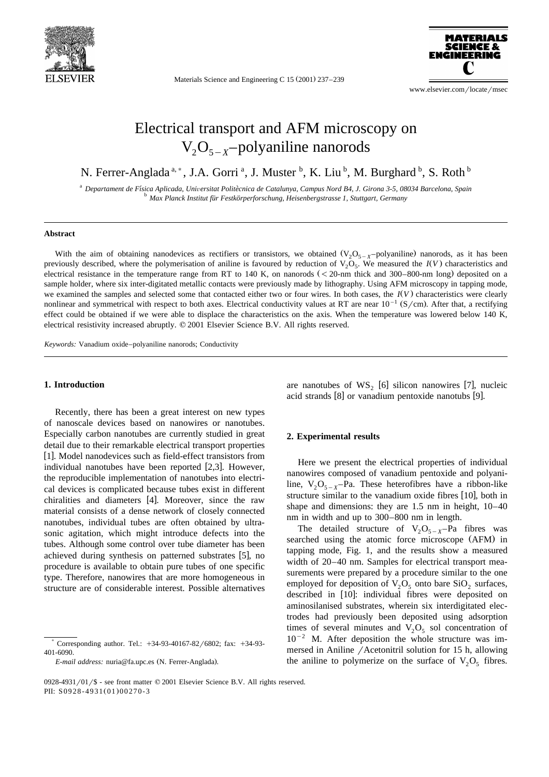

Materials Science and Engineering C 15 (2001) 237-239



www.elsevier.com/locate/msec

# Electrical transport and AFM microscopy on  $V_2O_{5-x}$ -polyaniline nanorods

N. Ferrer-Anglada<sup>a,\*</sup>, J.A. Gorri<sup>a</sup>, J. Muster <sup>b</sup>, K. Liu <sup>b</sup>, M. Burghard <sup>b</sup>, S. Roth <sup>b</sup>

<sup>a</sup> Departament de Física Aplicada, Universitat Politècnica de Catalunya, Campus Nord B4, J. Girona 3-5, 08034 Barcelona, Spain<br><sup>b</sup> Max Planck Institut für Festkörperforschung, Heisenbergstrasse 1, Stuttgart, Germany

# **Abstract**

With the aim of obtaining nanodevices as rectifiers or transistors, we obtained  $(V_2O_{5-x}$ -polyaniline) nanorods, as it has been previously described, where the polymerisation of aniline is favoured by reduction of  $V_2O_5$ . We measured the  $I(V)$  characteristics and electrical resistance in the temperature range from RT to 140 K, on nanorods  $( $20$ -nm thick and 300–800-nm long) deposited on a$ sample holder, where six inter-digitated metallic contacts were previously made by lithography. Using AFM microscopy in tapping mode, we examined the samples and selected some that contacted either two or four wires. In both cases, the  $I(V)$  characteristics were clearly nonlinear and symmetrical with respect to both axes. Electrical conductivity values at RT are near  $10^{-1}$  (S/cm). After that, a rectifying effect could be obtained if we were able to displace the characteristics on the axis. When the temperature was lowered below 140 K, electrical resistivity increased abruptly.  $\oslash$  2001 Elsevier Science B.V. All rights reserved.

*Keywords:* Vanadium oxide–polyaniline nanorods; Conductivity

# **1. Introduction**

Recently, there has been a great interest on new types of nanoscale devices based on nanowires or nanotubes. Especially carbon nanotubes are currently studied in great detail due to their remarkable electrical transport properties [1]. Model nanodevices such as field-effect transistors from individual nanotubes have been reported  $[2,3]$ . However, the reproducible implementation of nanotubes into electrical devices is complicated because tubes exist in different chiralities and diameters [4]. Moreover, since the raw material consists of a dense network of closely connected nanotubes, individual tubes are often obtained by ultrasonic agitation, which might introduce defects into the tubes. Although some control over tube diameter has been achieved during synthesis on patterned substrates  $[5]$ , no procedure is available to obtain pure tubes of one specific type. Therefore, nanowires that are more homogeneous in structure are of considerable interest. Possible alternatives are nanotubes of  $WS_2$  [6] silicon nanowires [7], nucleic acid strands  $[8]$  or vanadium pentoxide nanotubs  $[9]$ .

#### **2. Experimental results**

Here we present the electrical properties of individual nanowires composed of vanadium pentoxide and polyaniline,  $V_2O_{5-x}$ -Pa. These heterofibres have a ribbon-like structure similar to the vanadium oxide fibres [10], both in shape and dimensions: they are 1.5 nm in height, 10–40 nm in width and up to 300–800 nm in length.

The detailed structure of  $V_2O_{5-x}$ -Pa fibres was searched using the atomic force microscope (AFM) in tapping mode, Fig. 1, and the results show a measured width of 20–40 nm. Samples for electrical transport measurements were prepared by a procedure similar to the one employed for deposition of  $V_2O_5$  onto bare SiO<sub>2</sub> surfaces, described in [10]: individual fibres were deposited on aminosilanised substrates, wherein six interdigitated electrodes had previously been deposited using adsorption times of several minutes and  $V_2O_5$  sol concentration of  $10^{-2}$  M. After deposition the whole structure was immersed in Aniline / Acetonitril solution for 15 h, allowing the aniline to polymerize on the surface of  $V_2O_5$  fibres.

Corresponding author. Tel.:  $+34-93-40167-82/6802$ ; fax:  $+34-93-$ 401-6090.

*E-mail address:* nuria@fa.upc.es (N. Ferrer-Anglada).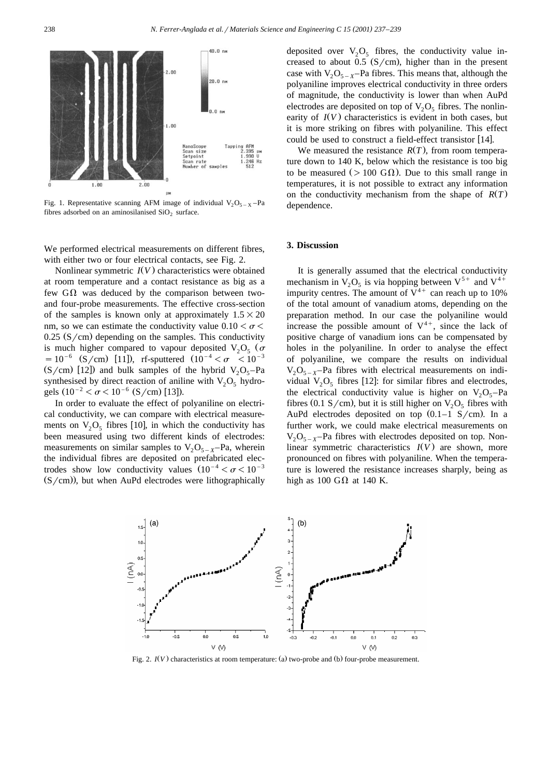

Fig. 1. Representative scanning AFM image of individual  $V_2O_{5-X}$ -Pa fibres adsorbed on an aminosilanised  $SiO<sub>2</sub>$  surface.

We performed electrical measurements on different fibres, with either two or four electrical contacts, see Fig. 2.

Nonlinear symmetric  $I(V)$  characteristics were obtained at room temperature and a contact resistance as big as a few  $G\Omega$  was deduced by the comparison between twoand four-probe measurements. The effective cross-section of the samples is known only at approximately  $1.5\times20$ nm, so we can estimate the conductivity value  $0.10<\sigma<$  $0.25$  (S/cm) depending on the samples. This conductivity is much higher compared to vapour deposited  $V_2O_5$  ( $\sigma$  = 10<sup>-6</sup> (S/cm) [11]), rf-sputtered  $(10^{-4} < \sigma < 10^{-3}$  $(S/cm)$  [12]) and bulk samples of the hybrid  $V_2O_5$ -Pa synthesised by direct reaction of aniline with  $V_2O_5$  hydrogels  $(10^{-2} < \sigma < 10^{-6}$  (S/cm) [13]).

In order to evaluate the effect of polyaniline on electrical conductivity, we can compare with electrical measurements on  $V_2O_5$  fibres [10], in which the conductivity has been measured using two different kinds of electrodes: measurements on similar samples to  $V_2O_{5-x}$ -Pa, wherein the individual fibres are deposited on prefabricated electrodes show low conductivity values  $(10^{-4} < \sigma < 10^{-3}$  $(S/cm)$ , but when AuPd electrodes were lithographically

deposited over  $V_2O_5$  fibres, the conductivity value increased to about 0.5  $(S/cm)$ , higher than in the present case with  $V_2O_{5-x}$ -Pa fibres. This means that, although the polyaniline improves electrical conductivity in three orders of magnitude, the conductivity is lower than when AuPd electrodes are deposited on top of  $V_2O_5$  fibres. The nonlinearity of  $I(V)$  characteristics is evident in both cases, but it is more striking on fibres with polyaniline. This effect could be used to construct a field-effect transistor [14].

We measured the resistance  $R(T)$ , from room temperature down to 140 K, below which the resistance is too big to be measured ( $> 100$  G $\Omega$ ). Due to this small range in temperatures, it is not possible to extract any information on the conductivity mechanism from the shape of  $R(T)$ dependence.

#### **3. Discussion**

It is generally assumed that the electrical conductivity mechanism in  $V_2O_5$  is via hopping between  $V^{5+}$  and  $V^{4+}$ impurity centres. The amount of  $V^{4+}$  can reach up to 10% of the total amount of vanadium atoms, depending on the preparation method. In our case the polyaniline would increase the possible amount of  $V^{4+}$ , since the lack of positive charge of vanadium ions can be compensated by holes in the polyaniline. In order to analyse the effect of polyaniline, we compare the results on individual  $V_2O_{5-x}$ -Pa fibres with electrical measurements on individual  $V_2O_5$  fibres [12]: for similar fibres and electrodes, the electrical conductivity value is higher on  $V_2O_5$ –Pa fibres (0.1 S/cm), but it is still higher on  $V_2O_5$  fibres with AuPd electrodes deposited on top  $(0.1-1 \text{ S/cm})$ . In a further work, we could make electrical measurements on  $V_2O_{5-x}$ -Pa fibres with electrodes deposited on top. Nonlinear symmetric characteristics  $I(V)$  are shown, more pronounced on fibres with polyaniline. When the temperature is lowered the resistance increases sharply, being as high as 100 G $\Omega$  at 140 K.



Fig. 2.  $I(V)$  characteristics at room temperature: (a) two-probe and (b) four-probe measurement.